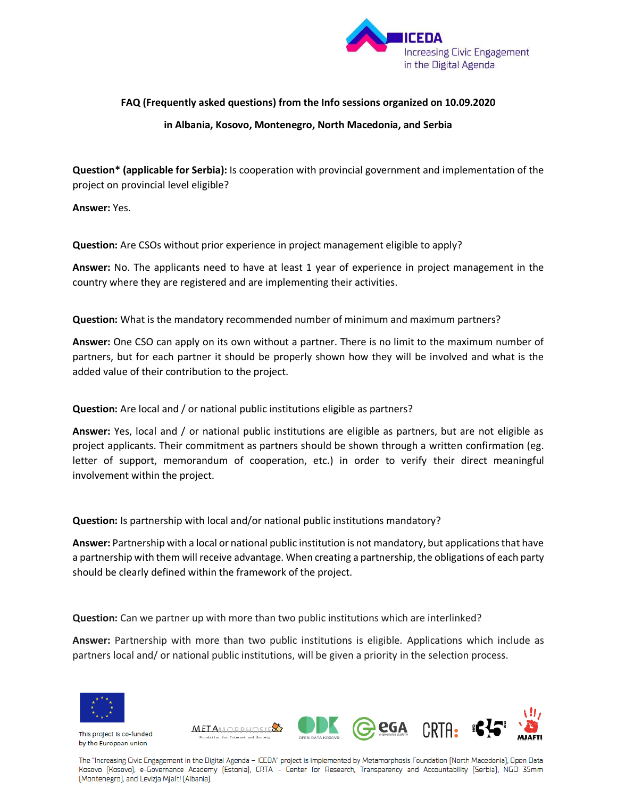

## **FAQ (Frequently asked questions) from the Info sessions organized on 10.09.2020 in Albania, Kosovo, Montenegro, North Macedonia, and Serbia**

**Question\* (applicable for Serbia):** Is cooperation with provincial government and implementation of the project on provincial level eligible?

**Answer:** Yes.

**Question:** Are CSOs without prior experience in project management eligible to apply?

**Answer:** No. The applicants need to have at least 1 year of experience in project management in the country where they are registered and are implementing their activities.

**Question:** What is the mandatory recommended number of minimum and maximum partners?

**Answer:** One CSO can apply on its own without a partner. There is no limit to the maximum number of partners, but for each partner it should be properly shown how they will be involved and what is the added value of their contribution to the project.

## **Question:** Are local and / or national public institutions eligible as partners?

**Answer:** Yes, local and / or national public institutions are eligible as partners, but are not eligible as project applicants. Their commitment as partners should be shown through a written confirmation (eg. letter of support, memorandum of cooperation, etc.) in order to verify their direct meaningful involvement within the project.

**Question:** Is partnership with local and/or national public institutions mandatory?

**Answer:** Partnership with a local or national public institution is not mandatory, but applications that have a partnership with them will receive advantage. When creating a partnership, the obligations of each party should be clearly defined within the framework of the project.

**Question:** Can we partner up with more than two public institutions which are interlinked?

**Answer:** Partnership with more than two public institutions is eligible. Applications which include as partners local and/ or national public institutions, will be given a priority in the selection process.



This project is co-funded by the European union



The "Increasing Civic Engagement in the Digital Agenda - ICEDA" project is implemented by Metamorphosis Foundation (North Macedonia), Open Data Kosovo [Kosovo], e-Governance Academy [Estonia], CRTA - Center for Research, Transparency and Accountability [Serbia], NGO 35mm [Montenegro], and Levizja Mjaft! [Albania].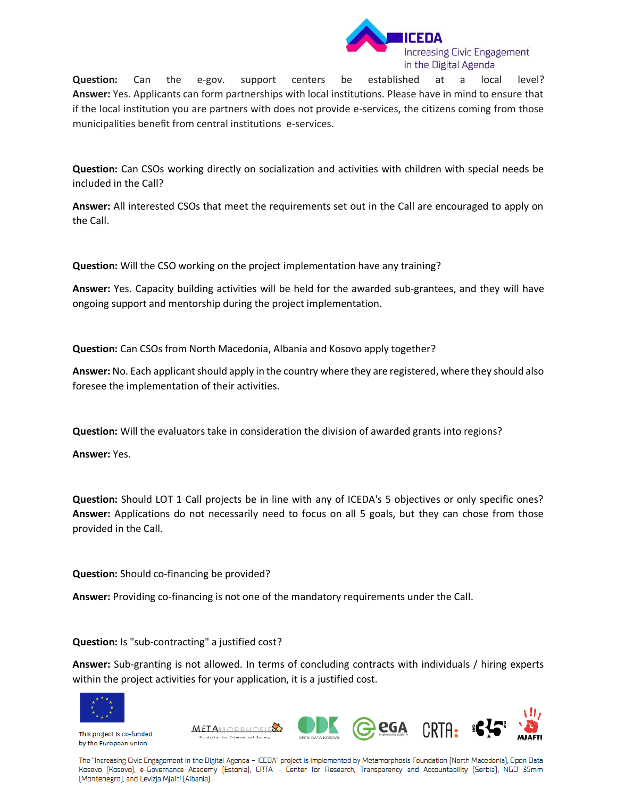

**Question:** Can the e-gov. support centers be established at a local level? **Answer:** Yes. Applicants can form partnerships with local institutions. Please have in mind to ensure that if the local institution you are partners with does not provide e-services, the citizens coming from those municipalities benefit from central institutions e-services.

**Question:** Can CSOs working directly on socialization and activities with children with special needs be included in the Call?

**Answer:** All interested CSOs that meet the requirements set out in the Call are encouraged to apply on the Call.

**Question:** Will the CSO working on the project implementation have any training?

**Answer:** Yes. Capacity building activities will be held for the awarded sub-grantees, and they will have ongoing support and mentorship during the project implementation.

**Question:** Can CSOs from North Macedonia, Albania and Kosovo apply together?

**Answer:** No. Each applicant should apply in the country where they are registered, where they should also foresee the implementation of their activities.

**Question:** Will the evaluators take in consideration the division of awarded grants into regions?

**Answer:** Yes.

**Question:** Should LOT 1 Call projects be in line with any of ICEDA's 5 objectives or only specific ones? **Answer:** Applications do not necessarily need to focus on all 5 goals, but they can chose from those provided in the Call.

**Question:** Should co-financing be provided?

**Answer:** Providing co-financing is not one of the mandatory requirements under the Call.

**Question:** Is "sub-contracting" a justified cost?

**Answer:** Sub-granting is not allowed. In terms of concluding contracts with individuals / hiring experts within the project activities for your application, it is a justified cost.



This project is co-funded by the European union



The "Increasing Civic Engagement in the Digital Agenda - ICEDA" project is implemented by Metamorphosis Foundation (North Macedonia), Open Data Kosovo [Kosovo], e-Governance Academy [Estonia], CRTA - Center for Research, Transparency and Accountability [Serbia], NGO 35mm [Montenegro], and Levizja Mjaft! [Albania].